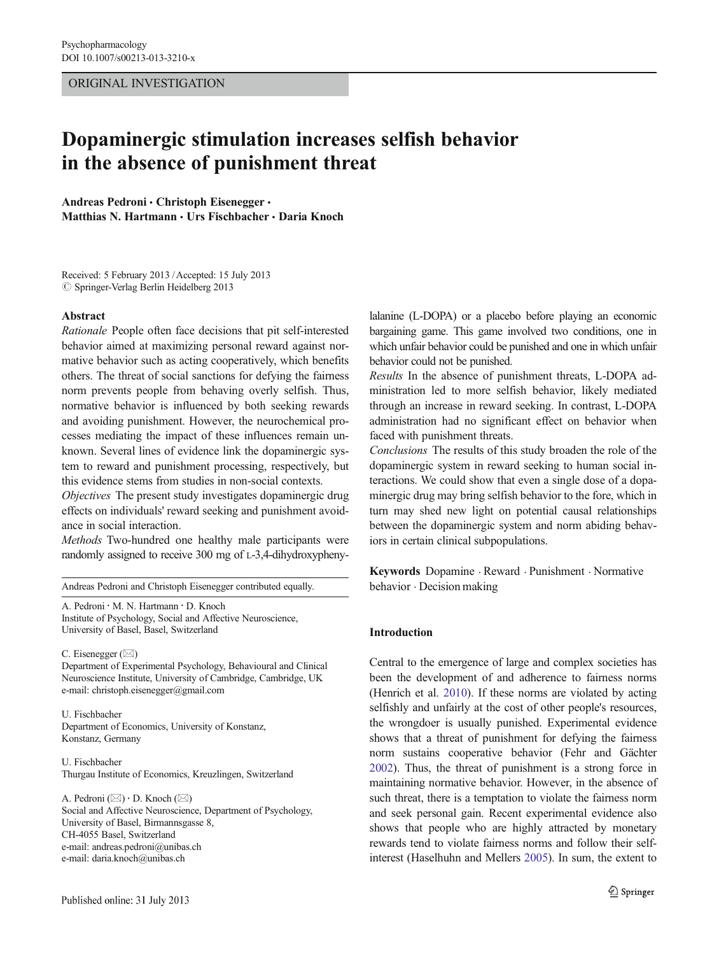# ORIGINAL INVESTIGATION

# Dopaminergic stimulation increases selfish behavior in the absence of punishment threat

Andreas Pedroni · Christoph Eisenegger · Matthias N. Hartmann · Urs Fischbacher · Daria Knoch

Received: 5 February 2013 /Accepted: 15 July 2013  $\oslash$  Springer-Verlag Berlin Heidelberg 2013

# Abstract

Rationale People often face decisions that pit self-interested behavior aimed at maximizing personal reward against normative behavior such as acting cooperatively, which benefits others. The threat of social sanctions for defying the fairness norm prevents people from behaving overly selfish. Thus, normative behavior is influenced by both seeking rewards and avoiding punishment. However, the neurochemical processes mediating the impact of these influences remain unknown. Several lines of evidence link the dopaminergic system to reward and punishment processing, respectively, but this evidence stems from studies in non-social contexts.

Objectives The present study investigates dopaminergic drug effects on individuals' reward seeking and punishment avoidance in social interaction.

Methods Two-hundred one healthy male participants were randomly assigned to receive 300 mg of L-3,4-dihydroxypheny-

Andreas Pedroni and Christoph Eisenegger contributed equally.

A. Pedroni : M. N. Hartmann : D. Knoch Institute of Psychology, Social and Affective Neuroscience, University of Basel, Basel, Switzerland

C. Eisenegger  $(\boxtimes)$ 

Department of Experimental Psychology, Behavioural and Clinical Neuroscience Institute, University of Cambridge, Cambridge, UK e-mail: christoph.eisenegger@gmail.com

U. Fischbacher Department of Economics, University of Konstanz, Konstanz, Germany

U. Fischbacher Thurgau Institute of Economics, Kreuzlingen, Switzerland

A. Pedroni ( $\boxtimes$ ) · D. Knoch ( $\boxtimes$ ) Social and Affective Neuroscience, Department of Psychology, University of Basel, Birmannsgasse 8, CH-4055 Basel, Switzerland e-mail: andreas.pedroni@unibas.ch e-mail: daria.knoch@unibas.ch

lalanine (L-DOPA) or a placebo before playing an economic bargaining game. This game involved two conditions, one in which unfair behavior could be punished and one in which unfair behavior could not be punished.

Results In the absence of punishment threats, L-DOPA administration led to more selfish behavior, likely mediated through an increase in reward seeking. In contrast, L-DOPA administration had no significant effect on behavior when faced with punishment threats.

Conclusions The results of this study broaden the role of the dopaminergic system in reward seeking to human social interactions. We could show that even a single dose of a dopaminergic drug may bring selfish behavior to the fore, which in turn may shed new light on potential causal relationships between the dopaminergic system and norm abiding behaviors in certain clinical subpopulations.

Keywords Dopamine . Reward . Punishment . Normative behavior . Decision making

## Introduction

Central to the emergence of large and complex societies has been the development of and adherence to fairness norms (Henrich et al. [2010\)](#page-6-0). If these norms are violated by acting selfishly and unfairly at the cost of other people's resources, the wrongdoer is usually punished. Experimental evidence shows that a threat of punishment for defying the fairness norm sustains cooperative behavior (Fehr and Gächter [2002\)](#page-6-0). Thus, the threat of punishment is a strong force in maintaining normative behavior. However, in the absence of such threat, there is a temptation to violate the fairness norm and seek personal gain. Recent experimental evidence also shows that people who are highly attracted by monetary rewards tend to violate fairness norms and follow their selfinterest (Haselhuhn and Mellers [2005\)](#page-6-0). In sum, the extent to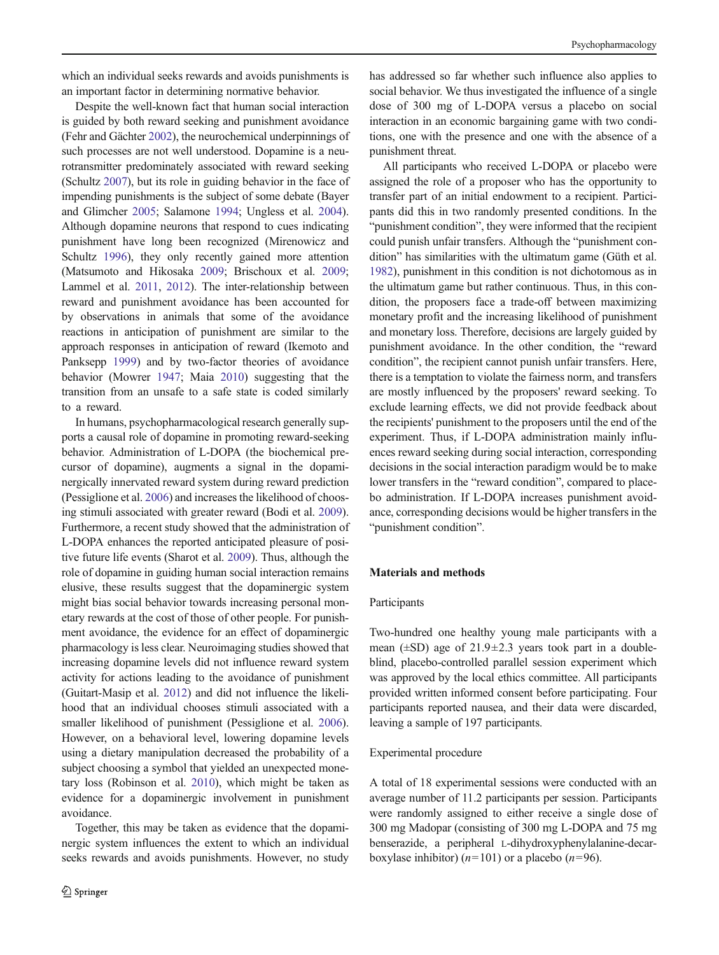which an individual seeks rewards and avoids punishments is an important factor in determining normative behavior.

Despite the well-known fact that human social interaction is guided by both reward seeking and punishment avoidance (Fehr and Gächter [2002\)](#page-6-0), the neurochemical underpinnings of such processes are not well understood. Dopamine is a neurotransmitter predominately associated with reward seeking (Schultz [2007](#page-6-0)), but its role in guiding behavior in the face of impending punishments is the subject of some debate (Bayer and Glimcher [2005](#page-5-0); Salamone [1994;](#page-6-0) Ungless et al. [2004\)](#page-6-0). Although dopamine neurons that respond to cues indicating punishment have long been recognized (Mirenowicz and Schultz [1996](#page-6-0)), they only recently gained more attention (Matsumoto and Hikosaka [2009;](#page-6-0) Brischoux et al. [2009](#page-5-0); Lammel et al. [2011](#page-6-0), [2012\)](#page-6-0). The inter-relationship between reward and punishment avoidance has been accounted for by observations in animals that some of the avoidance reactions in anticipation of punishment are similar to the approach responses in anticipation of reward (Ikemoto and Panksepp [1999](#page-6-0)) and by two-factor theories of avoidance behavior (Mowrer [1947](#page-6-0); Maia [2010](#page-6-0)) suggesting that the transition from an unsafe to a safe state is coded similarly to a reward.

In humans, psychopharmacological research generally supports a causal role of dopamine in promoting reward-seeking behavior. Administration of L-DOPA (the biochemical precursor of dopamine), augments a signal in the dopaminergically innervated reward system during reward prediction (Pessiglione et al. [2006\)](#page-6-0) and increases the likelihood of choosing stimuli associated with greater reward (Bodi et al. [2009\)](#page-5-0). Furthermore, a recent study showed that the administration of L-DOPA enhances the reported anticipated pleasure of positive future life events (Sharot et al. [2009](#page-6-0)). Thus, although the role of dopamine in guiding human social interaction remains elusive, these results suggest that the dopaminergic system might bias social behavior towards increasing personal monetary rewards at the cost of those of other people. For punishment avoidance, the evidence for an effect of dopaminergic pharmacology is less clear. Neuroimaging studies showed that increasing dopamine levels did not influence reward system activity for actions leading to the avoidance of punishment (Guitart-Masip et al. [2012](#page-6-0)) and did not influence the likelihood that an individual chooses stimuli associated with a smaller likelihood of punishment (Pessiglione et al. [2006\)](#page-6-0). However, on a behavioral level, lowering dopamine levels using a dietary manipulation decreased the probability of a subject choosing a symbol that yielded an unexpected monetary loss (Robinson et al. [2010](#page-6-0)), which might be taken as evidence for a dopaminergic involvement in punishment avoidance.

Together, this may be taken as evidence that the dopaminergic system influences the extent to which an individual seeks rewards and avoids punishments. However, no study has addressed so far whether such influence also applies to social behavior. We thus investigated the influence of a single dose of 300 mg of L-DOPA versus a placebo on social interaction in an economic bargaining game with two conditions, one with the presence and one with the absence of a punishment threat.

All participants who received L-DOPA or placebo were assigned the role of a proposer who has the opportunity to transfer part of an initial endowment to a recipient. Participants did this in two randomly presented conditions. In the "punishment condition", they were informed that the recipient could punish unfair transfers. Although the "punishment condition" has similarities with the ultimatum game (Güth et al. [1982\)](#page-6-0), punishment in this condition is not dichotomous as in the ultimatum game but rather continuous. Thus, in this condition, the proposers face a trade-off between maximizing monetary profit and the increasing likelihood of punishment and monetary loss. Therefore, decisions are largely guided by punishment avoidance. In the other condition, the "reward condition", the recipient cannot punish unfair transfers. Here, there is a temptation to violate the fairness norm, and transfers are mostly influenced by the proposers' reward seeking. To exclude learning effects, we did not provide feedback about the recipients' punishment to the proposers until the end of the experiment. Thus, if L-DOPA administration mainly influences reward seeking during social interaction, corresponding decisions in the social interaction paradigm would be to make lower transfers in the "reward condition", compared to placebo administration. If L-DOPA increases punishment avoidance, corresponding decisions would be higher transfers in the "punishment condition".

## Materials and methods

#### Participants

Two-hundred one healthy young male participants with a mean  $(\pm SD)$  age of 21.9 $\pm$ 2.3 years took part in a doubleblind, placebo-controlled parallel session experiment which was approved by the local ethics committee. All participants provided written informed consent before participating. Four participants reported nausea, and their data were discarded, leaving a sample of 197 participants.

## Experimental procedure

A total of 18 experimental sessions were conducted with an average number of 11.2 participants per session. Participants were randomly assigned to either receive a single dose of 300 mg Madopar (consisting of 300 mg L-DOPA and 75 mg benserazide, a peripheral L-dihydroxyphenylalanine-decarboxylase inhibitor)  $(n=101)$  or a placebo  $(n=96)$ .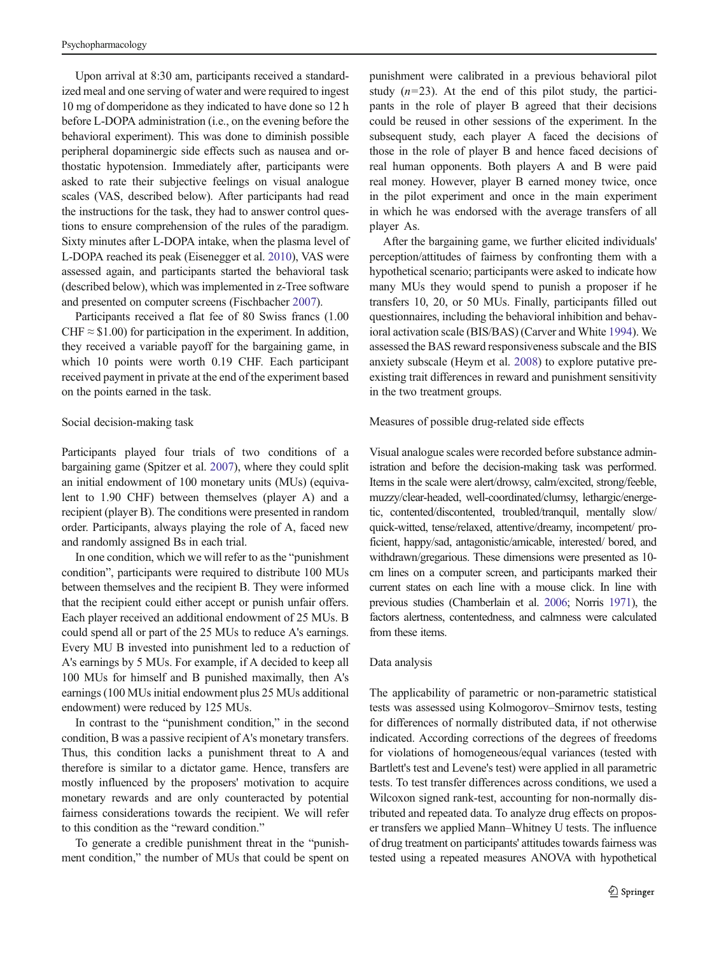Upon arrival at 8:30 am, participants received a standardized meal and one serving of water and were required to ingest 10 mg of domperidone as they indicated to have done so 12 h before L-DOPA administration (i.e., on the evening before the behavioral experiment). This was done to diminish possible peripheral dopaminergic side effects such as nausea and orthostatic hypotension. Immediately after, participants were asked to rate their subjective feelings on visual analogue scales (VAS, described below). After participants had read the instructions for the task, they had to answer control questions to ensure comprehension of the rules of the paradigm. Sixty minutes after L-DOPA intake, when the plasma level of L-DOPA reached its peak (Eisenegger et al. [2010\)](#page-5-0), VAS were assessed again, and participants started the behavioral task (described below), which was implemented in z-Tree software and presented on computer screens (Fischbacher [2007](#page-6-0)).

Participants received a flat fee of 80 Swiss francs (1.00 CHF  $\approx$  \$1.00) for participation in the experiment. In addition, they received a variable payoff for the bargaining game, in which 10 points were worth 0.19 CHF. Each participant received payment in private at the end of the experiment based on the points earned in the task.

#### Social decision-making task

Participants played four trials of two conditions of a bargaining game (Spitzer et al. [2007\)](#page-6-0), where they could split an initial endowment of 100 monetary units (MUs) (equivalent to 1.90 CHF) between themselves (player A) and a recipient (player B). The conditions were presented in random order. Participants, always playing the role of A, faced new and randomly assigned Bs in each trial.

In one condition, which we will refer to as the "punishment condition", participants were required to distribute 100 MUs between themselves and the recipient B. They were informed that the recipient could either accept or punish unfair offers. Each player received an additional endowment of 25 MUs. B could spend all or part of the 25 MUs to reduce A's earnings. Every MU B invested into punishment led to a reduction of A's earnings by 5 MUs. For example, if A decided to keep all 100 MUs for himself and B punished maximally, then A's earnings (100 MUs initial endowment plus 25 MUs additional endowment) were reduced by 125 MUs.

In contrast to the "punishment condition," in the second condition, B was a passive recipient of A's monetary transfers. Thus, this condition lacks a punishment threat to A and therefore is similar to a dictator game. Hence, transfers are mostly influenced by the proposers' motivation to acquire monetary rewards and are only counteracted by potential fairness considerations towards the recipient. We will refer to this condition as the "reward condition."

To generate a credible punishment threat in the "punishment condition," the number of MUs that could be spent on punishment were calibrated in a previous behavioral pilot study  $(n=23)$ . At the end of this pilot study, the participants in the role of player B agreed that their decisions could be reused in other sessions of the experiment. In the subsequent study, each player A faced the decisions of those in the role of player B and hence faced decisions of real human opponents. Both players A and B were paid real money. However, player B earned money twice, once in the pilot experiment and once in the main experiment in which he was endorsed with the average transfers of all player As.

After the bargaining game, we further elicited individuals' perception/attitudes of fairness by confronting them with a hypothetical scenario; participants were asked to indicate how many MUs they would spend to punish a proposer if he transfers 10, 20, or 50 MUs. Finally, participants filled out questionnaires, including the behavioral inhibition and behavioral activation scale (BIS/BAS) (Carver and White [1994\)](#page-5-0). We assessed the BAS reward responsiveness subscale and the BIS anxiety subscale (Heym et al. [2008\)](#page-6-0) to explore putative preexisting trait differences in reward and punishment sensitivity in the two treatment groups.

## Measures of possible drug-related side effects

Visual analogue scales were recorded before substance administration and before the decision-making task was performed. Items in the scale were alert/drowsy, calm/excited, strong/feeble, muzzy/clear-headed, well-coordinated/clumsy, lethargic/energetic, contented/discontented, troubled/tranquil, mentally slow/ quick-witted, tense/relaxed, attentive/dreamy, incompetent/ proficient, happy/sad, antagonistic/amicable, interested/ bored, and withdrawn/gregarious. These dimensions were presented as 10 cm lines on a computer screen, and participants marked their current states on each line with a mouse click. In line with previous studies (Chamberlain et al. [2006;](#page-5-0) Norris [1971](#page-6-0)), the factors alertness, contentedness, and calmness were calculated from these items.

#### Data analysis

The applicability of parametric or non-parametric statistical tests was assessed using Kolmogorov–Smirnov tests, testing for differences of normally distributed data, if not otherwise indicated. According corrections of the degrees of freedoms for violations of homogeneous/equal variances (tested with Bartlett's test and Levene's test) were applied in all parametric tests. To test transfer differences across conditions, we used a Wilcoxon signed rank-test, accounting for non-normally distributed and repeated data. To analyze drug effects on proposer transfers we applied Mann–Whitney U tests. The influence of drug treatment on participants' attitudes towards fairness was tested using a repeated measures ANOVA with hypothetical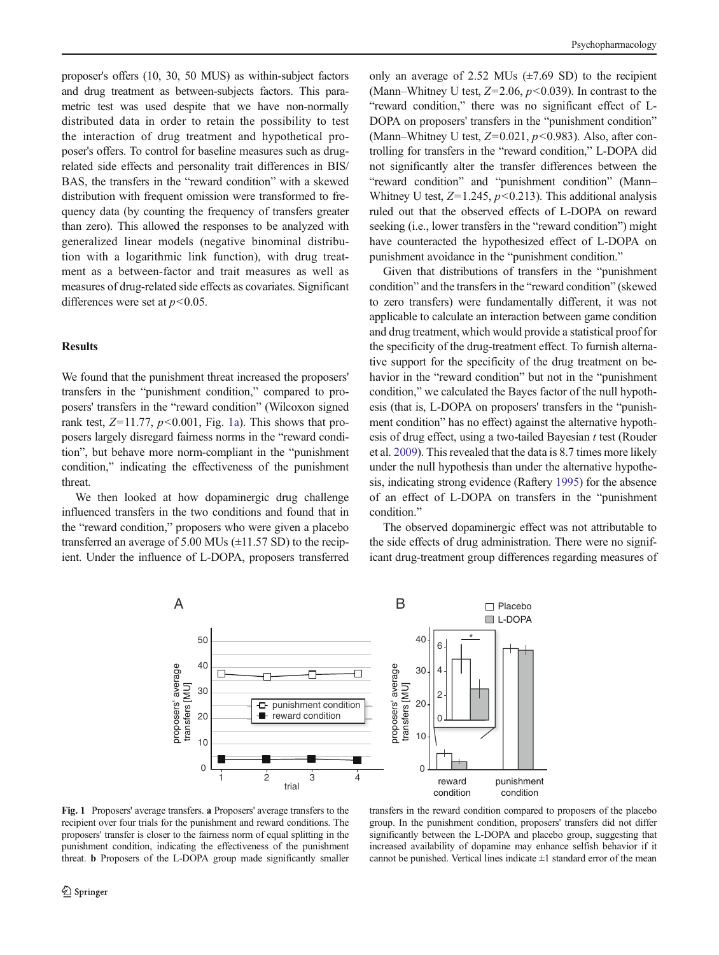proposer's offers (10, 30, 50 MUS) as within-subject factors and drug treatment as between-subjects factors. This parametric test was used despite that we have non-normally distributed data in order to retain the possibility to test the interaction of drug treatment and hypothetical proposer's offers. To control for baseline measures such as drugrelated side effects and personality trait differences in BIS/ BAS, the transfers in the "reward condition" with a skewed distribution with frequent omission were transformed to frequency data (by counting the frequency of transfers greater than zero). This allowed the responses to be analyzed with generalized linear models (negative binominal distribution with a logarithmic link function), with drug treatment as a between-factor and trait measures as well as measures of drug-related side effects as covariates. Significant differences were set at  $p<0.05$ .

# **Results**

We found that the punishment threat increased the proposers' transfers in the "punishment condition," compared to proposers' transfers in the "reward condition" (Wilcoxon signed rank test,  $Z=11.77$ ,  $p<0.001$ , Fig. 1a). This shows that proposers largely disregard fairness norms in the "reward condition", but behave more norm-compliant in the "punishment condition," indicating the effectiveness of the punishment threat.

We then looked at how dopaminergic drug challenge influenced transfers in the two conditions and found that in the "reward condition," proposers who were given a placebo transferred an average of  $5.00$  MUs ( $\pm$ 11.57 SD) to the recipient. Under the influence of L-DOPA, proposers transferred only an average of 2.52 MUs  $(\pm 7.69$  SD) to the recipient (Mann–Whitney U test,  $Z=2.06$ ,  $p<0.039$ ). In contrast to the "reward condition," there was no significant effect of L-DOPA on proposers' transfers in the "punishment condition" (Mann–Whitney U test,  $Z=0.021$ ,  $p<0.983$ ). Also, after controlling for transfers in the "reward condition," L-DOPA did not significantly alter the transfer differences between the "reward condition" and "punishment condition" (Mann– Whitney U test,  $Z=1.245$ ,  $p<0.213$ ). This additional analysis ruled out that the observed effects of L-DOPA on reward seeking (i.e., lower transfers in the "reward condition") might have counteracted the hypothesized effect of L-DOPA on punishment avoidance in the "punishment condition."

Given that distributions of transfers in the "punishment condition" and the transfers in the "reward condition" (skewed to zero transfers) were fundamentally different, it was not applicable to calculate an interaction between game condition and drug treatment, which would provide a statistical proof for the specificity of the drug-treatment effect. To furnish alternative support for the specificity of the drug treatment on behavior in the "reward condition" but not in the "punishment condition," we calculated the Bayes factor of the null hypothesis (that is, L-DOPA on proposers' transfers in the "punishment condition" has no effect) against the alternative hypothesis of drug effect, using a two-tailed Bayesian  $t$  test (Rouder et al. [2009\)](#page-6-0). This revealed that the data is 8.7 times more likely under the null hypothesis than under the alternative hypothesis, indicating strong evidence (Raftery [1995\)](#page-6-0) for the absence of an effect of L-DOPA on transfers in the "punishment condition."

The observed dopaminergic effect was not attributable to the side effects of drug administration. There were no significant drug-treatment group differences regarding measures of



Fig. 1 Proposers' average transfers. a Proposers' average transfers to the recipient over four trials for the punishment and reward conditions. The proposers' transfer is closer to the fairness norm of equal splitting in the punishment condition, indicating the effectiveness of the punishment threat. b Proposers of the L-DOPA group made significantly smaller

transfers in the reward condition compared to proposers of the placebo group. In the punishment condition, proposers' transfers did not differ significantly between the L-DOPA and placebo group, suggesting that increased availability of dopamine may enhance selfish behavior if it cannot be punished. Vertical lines indicate  $\pm 1$  standard error of the mean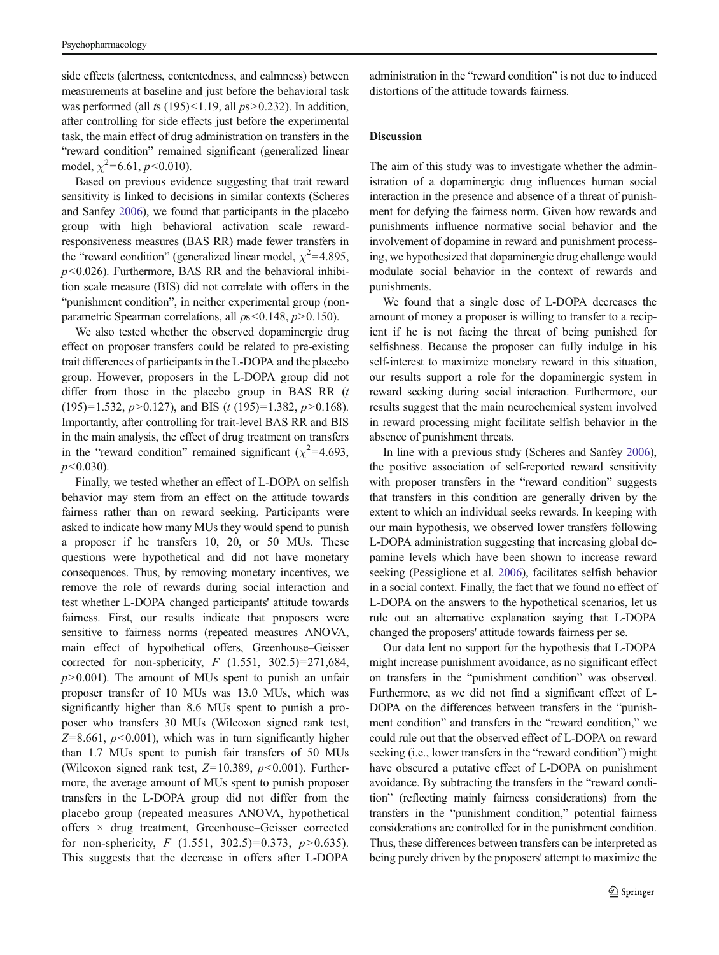side effects (alertness, contentedness, and calmness) between measurements at baseline and just before the behavioral task was performed (all ts  $(195)$  < 1.19, all  $ps$  > 0.232). In addition, after controlling for side effects just before the experimental task, the main effect of drug administration on transfers in the "reward condition" remained significant (generalized linear model,  $\chi^2$ =6.61,  $p$ <0.010).

Based on previous evidence suggesting that trait reward sensitivity is linked to decisions in similar contexts (Scheres and Sanfey [2006](#page-6-0)), we found that participants in the placebo group with high behavioral activation scale rewardresponsiveness measures (BAS RR) made fewer transfers in the "reward condition" (generalized linear model,  $\chi^2$ =4.895,  $p<0.026$ ). Furthermore, BAS RR and the behavioral inhibition scale measure (BIS) did not correlate with offers in the "punishment condition", in neither experimental group (nonparametric Spearman correlations, all  $\rho s < 0.148$ ,  $p > 0.150$ ).

We also tested whether the observed dopaminergic drug effect on proposer transfers could be related to pre-existing trait differences of participants in the L-DOPA and the placebo group. However, proposers in the L-DOPA group did not differ from those in the placebo group in BAS RR  $(t)$  $(195)=1.532, p>0.127$ , and BIS  $(t (195)=1.382, p>0.168)$ . Importantly, after controlling for trait-level BAS RR and BIS in the main analysis, the effect of drug treatment on transfers in the "reward condition" remained significant ( $\chi^2$ =4.693,  $p<0.030$ ).

Finally, we tested whether an effect of L-DOPA on selfish behavior may stem from an effect on the attitude towards fairness rather than on reward seeking. Participants were asked to indicate how many MUs they would spend to punish a proposer if he transfers 10, 20, or 50 MUs. These questions were hypothetical and did not have monetary consequences. Thus, by removing monetary incentives, we remove the role of rewards during social interaction and test whether L-DOPA changed participants' attitude towards fairness. First, our results indicate that proposers were sensitive to fairness norms (repeated measures ANOVA, main effect of hypothetical offers, Greenhouse–Geisser corrected for non-sphericity,  $F(1.551, 302.5)=271,684,$  $p > 0.001$ ). The amount of MUs spent to punish an unfair proposer transfer of 10 MUs was 13.0 MUs, which was significantly higher than 8.6 MUs spent to punish a proposer who transfers 30 MUs (Wilcoxon signed rank test,  $Z=8.661, p<0.001$ , which was in turn significantly higher than 1.7 MUs spent to punish fair transfers of 50 MUs (Wilcoxon signed rank test,  $Z=10.389$ ,  $p<0.001$ ). Furthermore, the average amount of MUs spent to punish proposer transfers in the L-DOPA group did not differ from the placebo group (repeated measures ANOVA, hypothetical offers × drug treatment, Greenhouse–Geisser corrected for non-sphericity,  $F(1.551, 302.5)=0.373, p>0.635$ . This suggests that the decrease in offers after L-DOPA administration in the "reward condition" is not due to induced distortions of the attitude towards fairness.

# Discussion

The aim of this study was to investigate whether the administration of a dopaminergic drug influences human social interaction in the presence and absence of a threat of punishment for defying the fairness norm. Given how rewards and punishments influence normative social behavior and the involvement of dopamine in reward and punishment processing, we hypothesized that dopaminergic drug challenge would modulate social behavior in the context of rewards and punishments.

We found that a single dose of L-DOPA decreases the amount of money a proposer is willing to transfer to a recipient if he is not facing the threat of being punished for selfishness. Because the proposer can fully indulge in his self-interest to maximize monetary reward in this situation, our results support a role for the dopaminergic system in reward seeking during social interaction. Furthermore, our results suggest that the main neurochemical system involved in reward processing might facilitate selfish behavior in the absence of punishment threats.

In line with a previous study (Scheres and Sanfey [2006\)](#page-6-0), the positive association of self-reported reward sensitivity with proposer transfers in the "reward condition" suggests that transfers in this condition are generally driven by the extent to which an individual seeks rewards. In keeping with our main hypothesis, we observed lower transfers following L-DOPA administration suggesting that increasing global dopamine levels which have been shown to increase reward seeking (Pessiglione et al. [2006](#page-6-0)), facilitates selfish behavior in a social context. Finally, the fact that we found no effect of L-DOPA on the answers to the hypothetical scenarios, let us rule out an alternative explanation saying that L-DOPA changed the proposers' attitude towards fairness per se.

Our data lent no support for the hypothesis that L-DOPA might increase punishment avoidance, as no significant effect on transfers in the "punishment condition" was observed. Furthermore, as we did not find a significant effect of L-DOPA on the differences between transfers in the "punishment condition" and transfers in the "reward condition," we could rule out that the observed effect of L-DOPA on reward seeking (i.e., lower transfers in the "reward condition") might have obscured a putative effect of L-DOPA on punishment avoidance. By subtracting the transfers in the "reward condition" (reflecting mainly fairness considerations) from the transfers in the "punishment condition," potential fairness considerations are controlled for in the punishment condition. Thus, these differences between transfers can be interpreted as being purely driven by the proposers' attempt to maximize the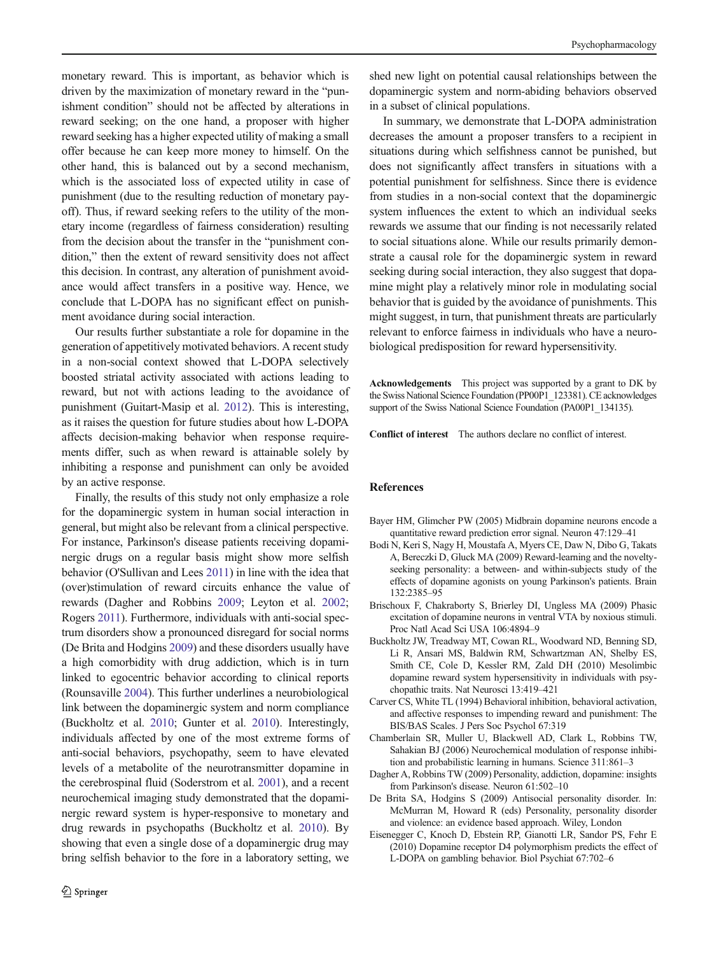<span id="page-5-0"></span>monetary reward. This is important, as behavior which is driven by the maximization of monetary reward in the "punishment condition" should not be affected by alterations in reward seeking; on the one hand, a proposer with higher reward seeking has a higher expected utility of making a small offer because he can keep more money to himself. On the other hand, this is balanced out by a second mechanism, which is the associated loss of expected utility in case of punishment (due to the resulting reduction of monetary payoff). Thus, if reward seeking refers to the utility of the monetary income (regardless of fairness consideration) resulting from the decision about the transfer in the "punishment condition," then the extent of reward sensitivity does not affect this decision. In contrast, any alteration of punishment avoidance would affect transfers in a positive way. Hence, we conclude that L-DOPA has no significant effect on punishment avoidance during social interaction.

Our results further substantiate a role for dopamine in the generation of appetitively motivated behaviors. A recent study in a non-social context showed that L-DOPA selectively boosted striatal activity associated with actions leading to reward, but not with actions leading to the avoidance of punishment (Guitart-Masip et al. [2012](#page-6-0)). This is interesting, as it raises the question for future studies about how L-DOPA affects decision-making behavior when response requirements differ, such as when reward is attainable solely by inhibiting a response and punishment can only be avoided by an active response.

Finally, the results of this study not only emphasize a role for the dopaminergic system in human social interaction in general, but might also be relevant from a clinical perspective. For instance, Parkinson's disease patients receiving dopaminergic drugs on a regular basis might show more selfish behavior (O'Sullivan and Lees [2011](#page-6-0)) in line with the idea that (over)stimulation of reward circuits enhance the value of rewards (Dagher and Robbins 2009; Leyton et al. [2002](#page-6-0); Rogers [2011](#page-6-0)). Furthermore, individuals with anti-social spectrum disorders show a pronounced disregard for social norms (De Brita and Hodgins 2009) and these disorders usually have a high comorbidity with drug addiction, which is in turn linked to egocentric behavior according to clinical reports (Rounsaville [2004\)](#page-6-0). This further underlines a neurobiological link between the dopaminergic system and norm compliance (Buckholtz et al. 2010; Gunter et al. [2010](#page-6-0)). Interestingly, individuals affected by one of the most extreme forms of anti-social behaviors, psychopathy, seem to have elevated levels of a metabolite of the neurotransmitter dopamine in the cerebrospinal fluid (Soderstrom et al. [2001](#page-6-0)), and a recent neurochemical imaging study demonstrated that the dopaminergic reward system is hyper-responsive to monetary and drug rewards in psychopaths (Buckholtz et al. 2010). By showing that even a single dose of a dopaminergic drug may bring selfish behavior to the fore in a laboratory setting, we

shed new light on potential causal relationships between the dopaminergic system and norm-abiding behaviors observed in a subset of clinical populations.

In summary, we demonstrate that L-DOPA administration decreases the amount a proposer transfers to a recipient in situations during which selfishness cannot be punished, but does not significantly affect transfers in situations with a potential punishment for selfishness. Since there is evidence from studies in a non-social context that the dopaminergic system influences the extent to which an individual seeks rewards we assume that our finding is not necessarily related to social situations alone. While our results primarily demonstrate a causal role for the dopaminergic system in reward seeking during social interaction, they also suggest that dopamine might play a relatively minor role in modulating social behavior that is guided by the avoidance of punishments. This might suggest, in turn, that punishment threats are particularly relevant to enforce fairness in individuals who have a neurobiological predisposition for reward hypersensitivity.

Acknowledgements This project was supported by a grant to DK by the Swiss National Science Foundation (PP00P1\_123381). CE acknowledges support of the Swiss National Science Foundation (PA00P1\_134135).

Conflict of interest The authors declare no conflict of interest.

## References

- Bayer HM, Glimcher PW (2005) Midbrain dopamine neurons encode a quantitative reward prediction error signal. Neuron 47:129–41
- Bodi N, Keri S, Nagy H, Moustafa A, Myers CE, Daw N, Dibo G, Takats A, Bereczki D, Gluck MA (2009) Reward-learning and the noveltyseeking personality: a between- and within-subjects study of the effects of dopamine agonists on young Parkinson's patients. Brain 132:2385–95
- Brischoux F, Chakraborty S, Brierley DI, Ungless MA (2009) Phasic excitation of dopamine neurons in ventral VTA by noxious stimuli. Proc Natl Acad Sci USA 106:4894–9
- Buckholtz JW, Treadway MT, Cowan RL, Woodward ND, Benning SD, Li R, Ansari MS, Baldwin RM, Schwartzman AN, Shelby ES, Smith CE, Cole D, Kessler RM, Zald DH (2010) Mesolimbic dopamine reward system hypersensitivity in individuals with psychopathic traits. Nat Neurosci 13:419–421
- Carver CS, White TL (1994) Behavioral inhibition, behavioral activation, and affective responses to impending reward and punishment: The BIS/BAS Scales. J Pers Soc Psychol 67:319
- Chamberlain SR, Muller U, Blackwell AD, Clark L, Robbins TW, Sahakian BJ (2006) Neurochemical modulation of response inhibition and probabilistic learning in humans. Science 311:861–3
- Dagher A, Robbins TW (2009) Personality, addiction, dopamine: insights from Parkinson's disease. Neuron 61:502–10
- De Brita SA, Hodgins S (2009) Antisocial personality disorder. In: McMurran M, Howard R (eds) Personality, personality disorder and violence: an evidence based approach. Wiley, London
- Eisenegger C, Knoch D, Ebstein RP, Gianotti LR, Sandor PS, Fehr E (2010) Dopamine receptor D4 polymorphism predicts the effect of L-DOPA on gambling behavior. Biol Psychiat 67:702–6